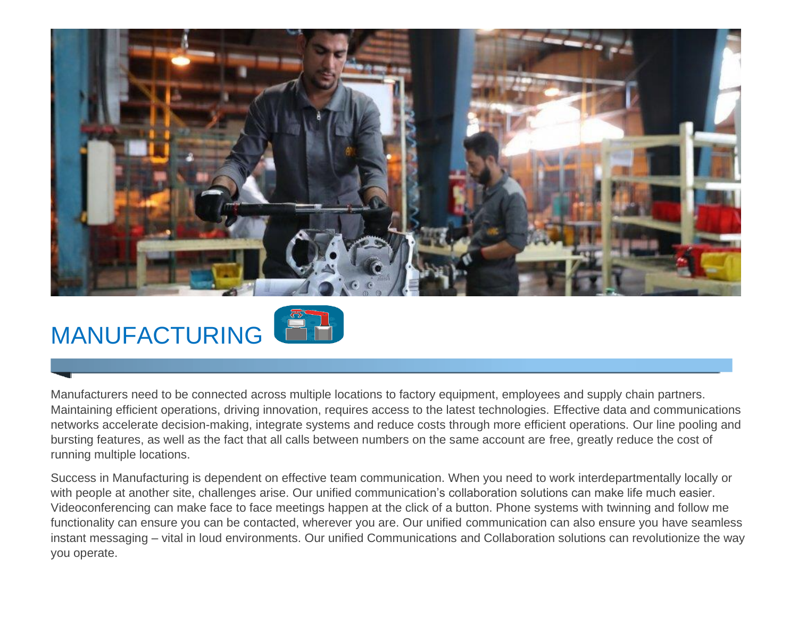

# MANUFACTURING

Manufacturers need to be connected across multiple locations to factory equipment, employees and supply chain partners. Maintaining efficient operations, driving innovation, requires access to the latest technologies. Effective data and communications networks accelerate decision-making, integrate systems and reduce costs through more efficient operations. Our line pooling and bursting features, as well as the fact that all calls between numbers on the same account are free, greatly reduce the cost of running multiple locations.

Success in Manufacturing is dependent on effective team communication. When you need to work interdepartmentally locally or with people at another site, challenges arise. Our unified communication's collaboration solutions can make life much easier. Videoconferencing can make face to face meetings happen at the click of a button. Phone systems with twinning and follow me functionality can ensure you can be contacted, wherever you are. Our unified communication can also ensure you have seamless instant messaging – vital in loud environments. Our unified Communications and Collaboration solutions can revolutionize the way you operate.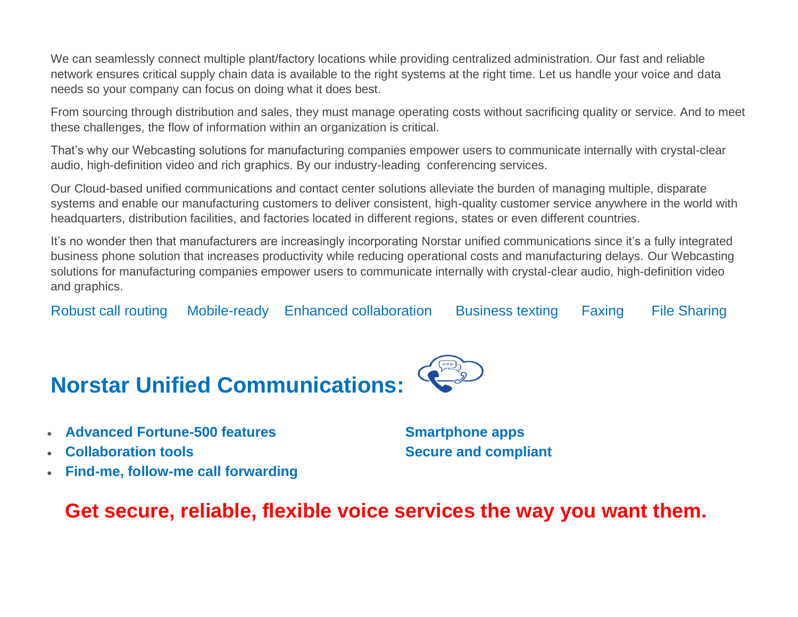We can seamlessly connect multiple plant/factory locations while providing centralized administration. Our fast and reliable network ensures critical supply chain data is available to the right systems at the right time. Let us handle your voice and data needs so your company can focus on doing what it does best.

From sourcing through distribution and sales, they must manage operating costs without sacrificing quality or service. And to meet these challenges, the flow of information within an organization is critical.

That's why our Webcasting solutions for manufacturing companies empower users to communicate internally with crystal-clear audio, high-definition video and rich graphics. By our industry-leading conferencing services.

Our Cloud-based unified communications and contact center solutions alleviate the burden of managing multiple, disparate systems and enable our manufacturing customers to deliver consistent, high-quality customer service anywhere in the world with headquarters, distribution facilities, and factories located in different regions, states or even different countries.

It's no wonder then that manufacturers are increasingly incorporating Norstar unified communications since it's a fully integrated business phone solution that increases productivity while reducing operational costs and manufacturing delays. Our Webcasting solutions for manufacturing companies empower users to communicate internally with crystal-clear audio, high-definition video and graphics.

Robust call routing Mobile-ready Enhanced collaboration Business texting Faxing File Sharing



- **Advanced Fortune-500 features Smartphone apps**
- 
- **Find-me, follow-me call forwarding**

**Collaboration tools Collaboration constant** 

### **Get secure, reliable, flexible voice services the way you want them.**

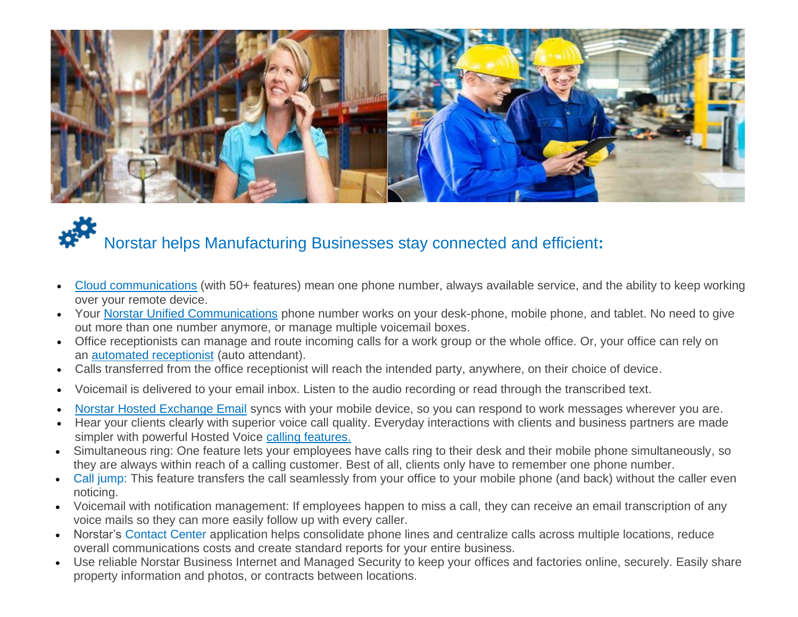

## Norstar helps Manufacturing Businesses stay connected and efficient**:**

- Cloud communications (with 50+ features) mean one phone number, always available service, and the ability to keep working over your remote device.
- Your [Norstar](https://www.norstartelecom.com/voice/unified-communications/) Unified Communications phone number works on your desk-phone, mobile phone, and tablet. No need to give out more than one number anymore, or manage multiple voicemail boxes.
- Office receptionists can manage and route incoming calls for a work group or the whole office. Or, your office can rely on an automated receptionist (auto attendant).
- Calls transferred from the office receptionist will reach the intended party, anywhere, on their choice of device.
- Voicemail is delivered to your email inbox. Listen to the audio recording or read through the transcribed text.
- Norstar Hosted Exchange Email syncs with your mobile device, so you can respond to work messages wherever you are.
- Hear your clients clearly with superior voice call quality. Everyday interactions with clients and business partners are made simpler with powerful Hosted Voice calling features.
- Simultaneous ring: One feature lets your employees have calls ring to their desk and their mobile phone simultaneously, so they are always within reach of a calling customer. Best of all, clients only have to remember one phone number.
- Call jump: This feature transfers the call seamlessly from your office to your mobile phone (and back) without the caller even noticing.
- Voicemail with notification management: If employees happen to miss a call, they can receive an email transcription of any voice mails so they can more easily follow up with every caller.
- Norstar's Contact Center application helps consolidate phone lines and centralize calls across multiple locations, reduce overall communications costs and create standard reports for your entire business.
- Use reliable Norstar Business Internet and Managed Security to keep your offices and factories online, securely. Easily share property information and photos, or contracts between locations.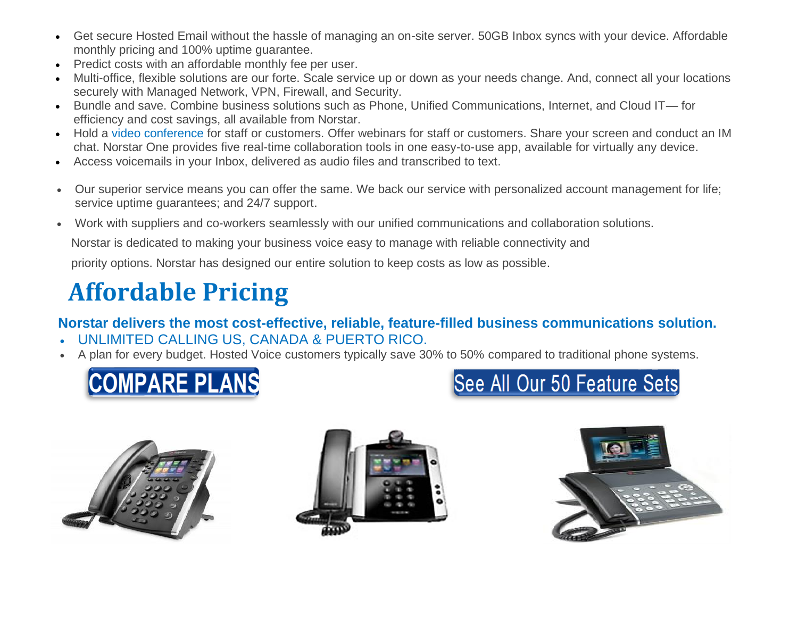- Get secure Hosted Email without the hassle of managing an on-site server. 50GB Inbox syncs with your device. Affordable monthly pricing and 100% uptime guarantee.
- Predict costs with an affordable monthly fee per user.
- Multi-office, flexible solutions are our forte. Scale service up or down as your needs change. And, connect all your locations securely with Managed Network, VPN, Firewall, and Security.
- Bundle and save. Combine business solutions such as Phone, Unified Communications, Internet, and Cloud IT— for efficiency and cost savings, all available from Norstar.
- Hold a video conference for staff or customers. Offer webinars for staff or customers. Share your screen and conduct an IM chat. Norstar One provides five real-time collaboration tools in one easy-to-use app, available for virtually any device.
- Access voicemails in your Inbox, delivered as audio files and transcribed to text.
- Our superior service means you can offer the same. We back our service with personalized account management for life; service uptime guarantees; and 24/7 support.
- Work with suppliers and co-workers seamlessly with our unified communications and collaboration solutions.

Norstar is dedicated to making your business voice easy to manage with reliable connectivity and

priority options. Norstar has designed our entire solution to keep costs as low as possible.

## **Affordable Pricing**

#### **Norstar delivers the most cost-effective, reliable, feature-filled business communications solution.**

- UNLIMITED CALLING US, CANADA & PUERTO RICO.
- A plan for every budget. Hosted Voice customers typically save 30% to 50% compared to traditional phone systems.









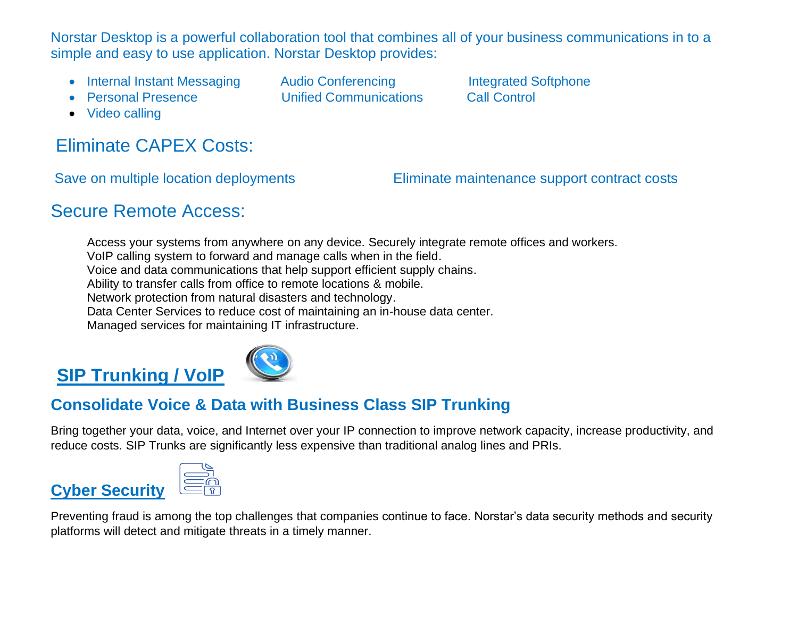Norstar Desktop is a powerful collaboration tool that combines all of your business communications in to a simple and easy to use application. Norstar Desktop provides:

- Internal Instant Messaging Audio Conferencing Integrated Softphone
- Personal Presence Unified Communications Call Control

• Video calling

### Eliminate CAPEX Costs:

Save on multiple location deployments Eliminate maintenance support contract costs

### Secure Remote Access:

Access your systems from anywhere on any device. Securely integrate remote offices and workers. VoIP calling system to forward and manage calls when in the field. Voice and data communications that help support efficient supply chains. Ability to transfer calls from office to remote locations & mobile. Network protection from natural disasters and technology. Data Center Services to reduce cost of maintaining an in-house data center. Managed services for maintaining IT infrastructure.

### **SIP Trunking / VoIP**



#### **Consolidate Voice & Data with Business Class SIP Trunking**

Bring together your data, voice, and Internet over your IP connection to improve network capacity, increase productivity, and reduce costs. SIP Trunks are significantly less expensive than traditional analog lines and PRIs.

### **Cyber Security**

Preventing fraud is among the top challenges that companies continue to face. Norstar's data security methods and security platforms will detect and mitigate threats in a timely manner.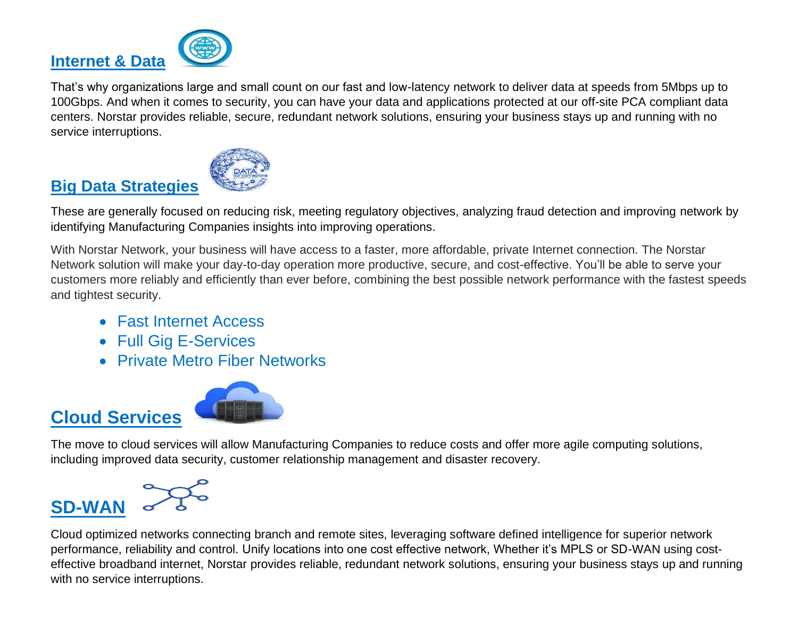

That's why organizations large and small count on our fast and low-latency network to deliver data at speeds from 5Mbps up to 100Gbps. And when it comes to security, you can have your data and applications protected at our off-site PCA compliant data centers. Norstar provides reliable, secure, redundant network solutions, ensuring your business stays up and running with no service interruptions.



#### **Big Data Strategies**

These are generally focused on reducing risk, meeting regulatory objectives, analyzing fraud detection and improving network by identifying Manufacturing Companies insights into improving operations.

With Norstar Network, your business will have access to a faster, more affordable, private Internet connection. The Norstar Network solution will make your day-to-day operation more productive, secure, and cost-effective. You'll be able to serve your customers more reliably and efficiently than ever before, combining the best possible network performance with the fastest speeds and tightest security.

- Fast Internet Access
- Full Gig E-Services
- Private Metro Fiber Networks



The move to cloud services will allow Manufacturing Companies to reduce costs and offer more agile computing solutions, including improved data security, customer relationship management and disaster recovery.



**Cloud Services**

Cloud optimized networks connecting branch and remote sites, leveraging software defined intelligence for superior network performance, reliability and control. Unify locations into one cost effective network, Whether it's MPLS or SD-WAN using costeffective broadband internet, Norstar provides reliable, redundant network solutions, ensuring your business stays up and running with no service interruptions.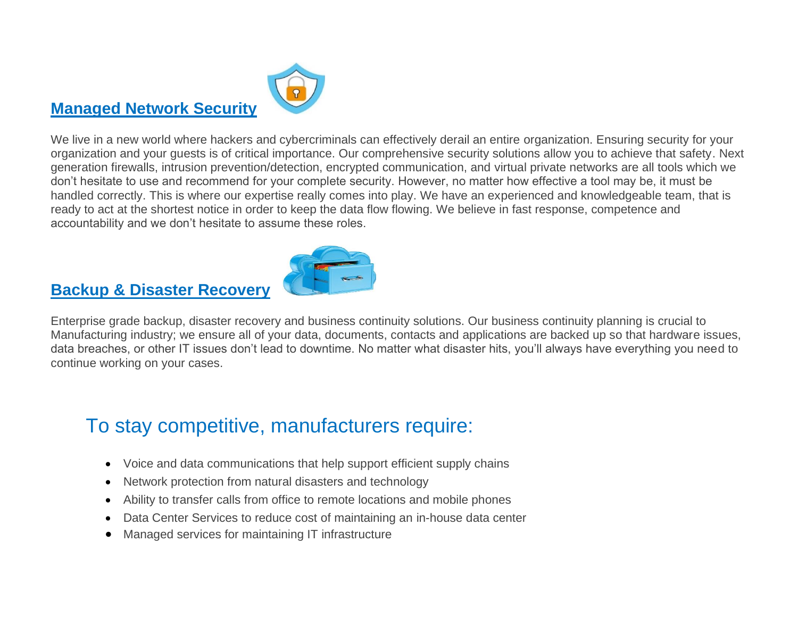### **Managed Network Security**



We live in a new world where hackers and cybercriminals can effectively derail an entire organization. Ensuring security for your organization and your guests is of critical importance. Our comprehensive security solutions allow you to achieve that safety. Next generation firewalls, intrusion prevention/detection, encrypted communication, and virtual private networks are all tools which we don't hesitate to use and recommend for your complete security. However, no matter how effective a tool may be, it must be handled correctly. This is where our expertise really comes into play. We have an experienced and knowledgeable team, that is ready to act at the shortest notice in order to keep the data flow flowing. We believe in fast response, competence and accountability and we don't hesitate to assume these roles.



### **Backup & Disaster Recovery**

Enterprise grade backup, disaster recovery and business continuity solutions. Our business continuity planning is crucial to Manufacturing industry; we ensure all of your data, documents, contacts and applications are backed up so that hardware issues, data breaches, or other IT issues don't lead to downtime. No matter what disaster hits, you'll always have everything you need to continue working on your cases.

### To stay competitive, manufacturers require:

- Voice and data communications that help support efficient supply chains
- Network protection from natural disasters and technology
- Ability to transfer calls from office to remote locations and mobile phones
- Data Center Services to reduce cost of maintaining an in-house data center
- Managed services for maintaining IT infrastructure